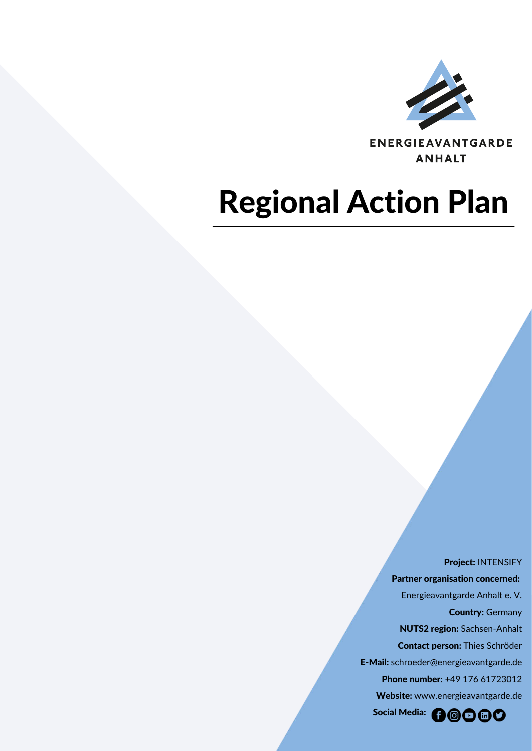

ENERGIEAVANTGARDE **ANHALT** 

## Regional Action Plan

 Project: INTENSIFY Partner organisation concerned: Energieavantgarde Anhalt e. V. Country: Germany NUTS2 region: Sachsen-Anhalt Contact person: Thies Schröder E-Mail: schroeder@energieavantgarde.de Phone number: +49 176 61723012 Website: [www.energieavantgarde.de](http://www.energieavantgarde.de/) Social Media: 00000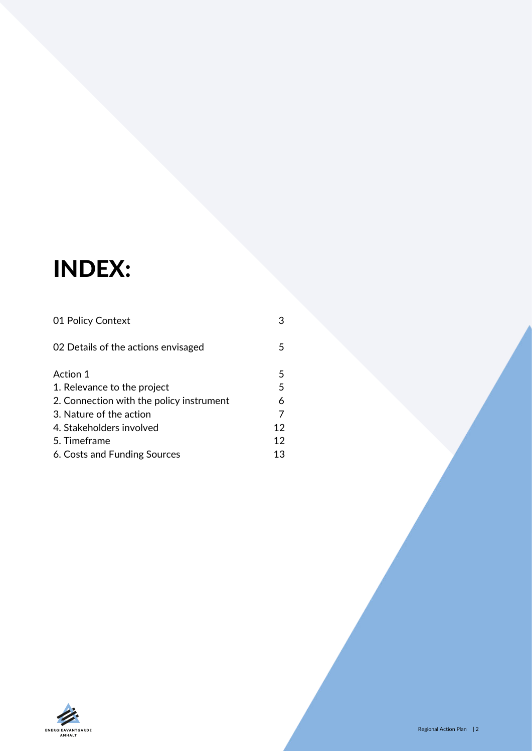## INDEX:

| 01 Policy Context                        | З  |
|------------------------------------------|----|
| 02 Details of the actions envisaged      | 5  |
| Action 1                                 | 5  |
| 1. Relevance to the project              | 5  |
| 2. Connection with the policy instrument | 6  |
| 3. Nature of the action                  | 7  |
| 4. Stakeholders involved                 | 12 |
| 5. Timeframe                             | 12 |
| 6. Costs and Funding Sources             | 13 |

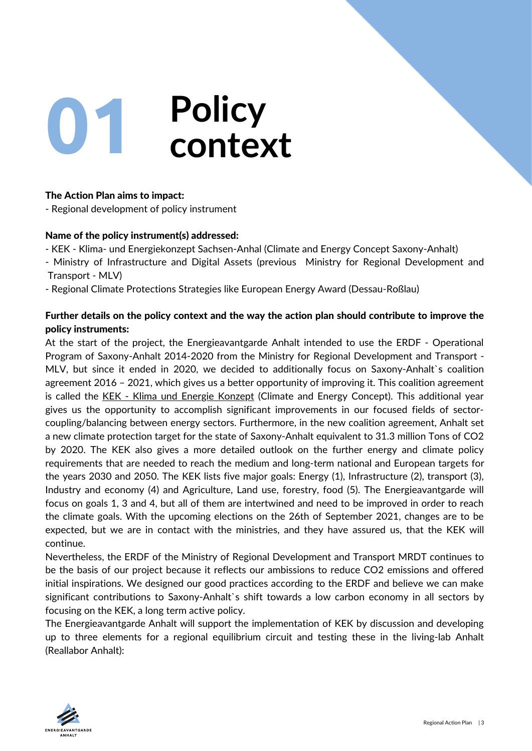<span id="page-2-0"></span>

#### The Action Plan aims to impact:

- Regional development of policy instrument

#### Name of the policy instrument(s) addressed:

- KEK - Klima- und Energiekonzept Sachsen- Anhal (Climate and Energy Concept Saxony-Anhalt)

- Ministry of Infrastructure and Digital Assets (previous Ministry for Regional Development and Transport - MLV)

- Regional Climate Protections Strategies like European Energy Award (Dessau-Roßlau)

#### Further details on the policy context and the way the action plan should contribute to improve the policy instruments:

At the start of the project, the Energieavantgarde Anhalt intended to use the ERDF - Operational Program of Saxony-Anhalt 2014-2020 from the Ministry for Regional Development and Transport - MLV, but since it ended in 2020, we decided to additionally focus on Saxony-Anhalt`s coalition agreement 2016 – 2021, which gives us a better opportunity of improving it. This coalition agreement is called the [KEK - Klima und Energie Konzept](https://mule.sachsen-anhalt.de/fileadmin/Bibliothek/Politik_und_Verwaltung/MLU/MLU/04_Energie/Klimaschutz/00_Startseite_Klimaschutz/190205_Klima-_und_Energiekonzept_Sachsen-Anhalt.pdf) (Climate and Energy Concept). This additional year gives us the opportunity to accomplish significant improvements in our focused fields of sectorcoupling/balancing between energy sectors. Furthermore, in the new coalition agreement, Anhalt set a new climate protection target for the state of Saxony-Anhalt equivalent to 31.3 million Tons of CO2 by 2020. The KEK also gives a more detailed outlook on the further energy and climate policy requirements that are needed to reach the medium and long-term national and European targets for the years 2030 and 2050. The KEK lists five major goals: Energy (1), Infrastructure (2), transport (3), Industry and economy (4) and Agriculture, Land use, forestry, food (5). The Energieavantgarde will focus on goals 1, 3 and 4, but all of them are intertwined and need to be improved in order to reach the climate goals. With the upcoming elections on the 26th of September 2021, changes are to be expected, but we are in contact with the ministries, and they have assured us, that the KEK will continue.

Nevertheless, the ERDF of the Ministry of Regional Development and Transport MRDT continues to be the basis of our project because it reflects our ambissions to reduce CO2 emissions and offered initial inspirations. We designed our good practices according to the ERDF and believe we can make significant contributions to Saxony-Anhalt`s shift towards a low carbon economy in all sectors by focusing on the KEK, a long term active policy.

The Energieavantgarde Anhalt will support the implementation of KEK by discussion and developing up to three elements for a regional equilibrium circuit and testing these in the living-lab Anhalt (Reallabor Anhalt):

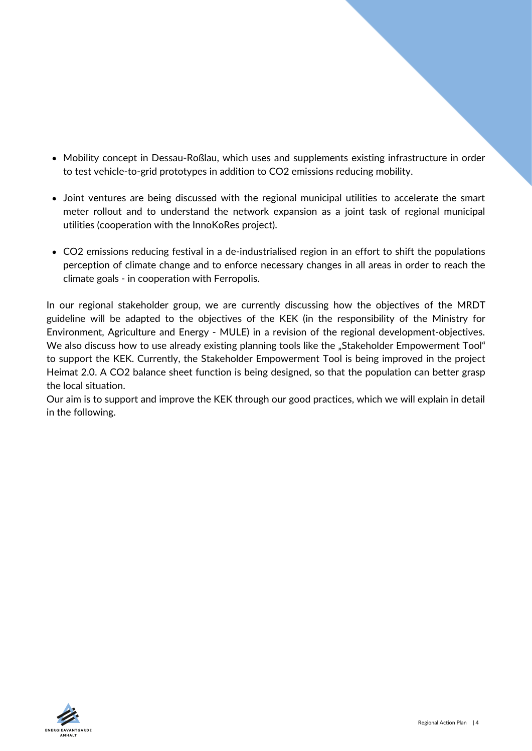- Mobility concept in Dessau-Roßlau, which uses and supplements existing infrastructure in order to test vehicle-to-grid prototypes in addition to CO2 emissions reducing mobility.
- Joint ventures are being discussed with the regional municipal utilities to accelerate the smart meter rollout and to understand the network expansion as a joint task of regional municipal utilities (cooperation with the InnoKoRes project).
- CO2 emissions reducing festival in a de-industrialised region in an effort to shift the populations perception of climate change and to enforce necessary changes in all areas in order to reach the climate goals - in cooperation with Ferropolis.

In our regional stakeholder group, we are currently discussing how the objectives of the MRDT guideline will be adapted to the objectives of the KEK (in the responsibility of the Ministry for Environment, Agriculture and Energy - MULE) in a revision of the regional development-objectives. We also discuss how to use already existing planning tools like the "Stakeholder Empowerment Tool" to support the KEK. Currently, the Stakeholder Empowerment Tool is being improved in the project Heimat 2.0. A CO2 balance sheet function is being designed, so that the population can better grasp the local situation.

Our aim is to support and improve the KEK through our good practices, which we will explain in detail in the following.

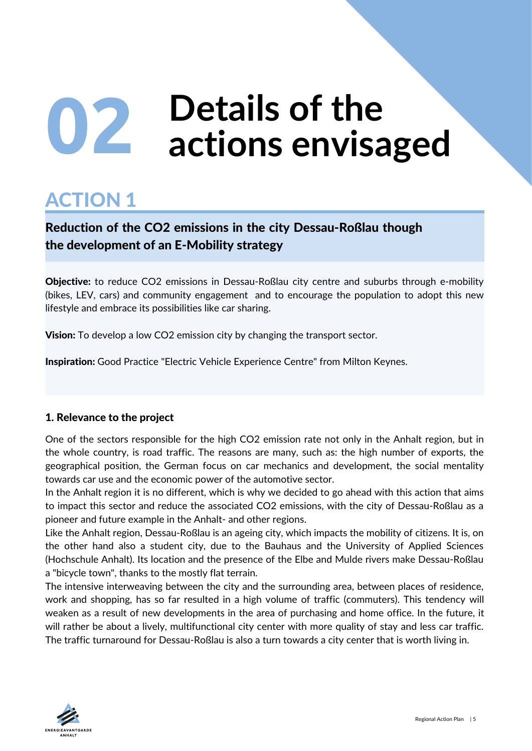# <span id="page-4-0"></span>**Details of the 02 actions envisaged**

### ACTION 1

#### Reduction of the CO2 emissions in the city Dessau-Roßlau though the development of an E-Mobility strategy

Objective: to reduce CO2 emissions in Dessau-Roßlau city centre and suburbs through e-mobility (bikes, LEV, cars) and community engagement and to encourage the population to adopt this new lifestyle and embrace its possibilities like car sharing.

**Vision:** To develop a low CO2 emission city by changing the transport sector.

Inspiration: Good Practice "Electric Vehicle Experience Centre" from Milton Keynes.

#### 1. Relevance to the project

One of the sectors responsible for the high CO2 emission rate not only in the Anhalt region, but in the whole country, is road traffic. The reasons are many, such as: the high number of exports, the geographical position, the German focus on car mechanics and development, the social mentality towards car use and the economic power of the automotive sector.

In the Anhalt region it is no different, which is why we decided to go ahead with this action that aims to impact this sector and reduce the associated CO2 emissions, with the city of Dessau-Roßlau as a pioneer and future example in the Anhalt- and other regions.

Like the Anhalt region, Dessau-Roßlau is an ageing city, which impacts the mobility of citizens. It is, on the other hand also a student city, due to the Bauhaus and the University of Applied Sciences (Hochschule Anhalt). Its location and the presence of the Elbe and Mulde rivers make Dessau-Roßlau a "bicycle town", thanks to the mostly flat terrain.

The intensive interweaving between the city and the surrounding area, between places of residence, work and shopping, has so far resulted in a high volume of traffic (commuters). This tendency will weaken as a result of new developments in the area of purchasing and home office. In the future, it will rather be about a lively, multifunctional city center with more quality of stay and less car traffic. The traffic turnaround for Dessau-Roßlau is also a turn towards a city center that is worth living in.

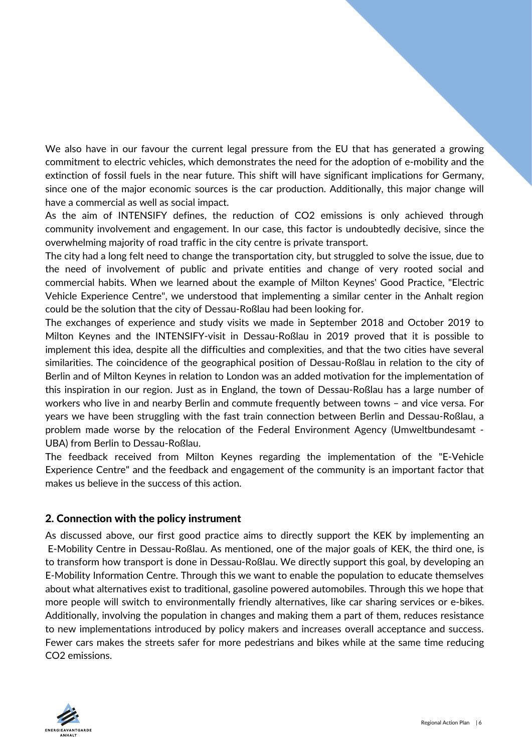<span id="page-5-0"></span>We also have in our favour the current legal pressure from the EU that has generated a growing commitment to electric vehicles, which demonstrates the need for the adoption of e-mobility and the extinction of fossil fuels in the near future. This shift will have significant implications for Germany, since one of the major economic sources is the car production. Additionally, this major change will have a commercial as well as social impact.

As the aim of INTENSIFY defines, the reduction of CO2 emissions is only achieved through community involvement and engagement. In our case, this factor is undoubtedly decisive, since the overwhelming majority of road traffic in the city centre is private transport.

The city had a long felt need to change the transportation city, but struggled to solve the issue, due to the need of involvement of public and private entities and change of very rooted social and commercial habits. When we learned about the example of Milton Keynes' Good Practice, "Electric Vehicle Experience Centre", we understood that implementing a similar center in the Anhalt region could be the solution that the city of Dessau-Roßlau had been looking for.

The exchanges of experience and study visits we made in September 2018 and October 2019 to Milton Keynes and the INTENSIFY-visit in Dessau-Roßlau in 2019 proved that it is possible to implement this idea, despite all the difficulties and complexities, and that the two cities have several similarities. The coincidence of the geographical position of Dessau-Roßlau in relation to the city of Berlin and of Milton Keynes in relation to London was an added motivation for the implementation of this inspiration in our region. Just as in England, the town of Dessau-Roßlau has a large number of workers who live in and nearby Berlin and commute frequently between towns – and vice versa. For years we have been struggling with the fast train connection between Berlin and Dessau-Roßlau, a problem made worse by the relocation of the Federal Environment Agency (Umweltbundesamt - UBA) from Berlin to Dessau-Roßlau.

The feedback received from Milton Keynes regarding the implementation of the "E-Vehicle Experience Centre" and the feedback and engagement of the community is an important factor that makes us believe in the success of this action.

#### 2. Connection with the policy instrument

As discussed above, our first good practice aims to directly support the KEK by implementing an E-Mobility Centre in Dessau-Roßlau. As mentioned, one of the major goals of KEK, the third one, is to transform how transport is done in Dessau-Roßlau. We directly support this goal, by developing an E-Mobility Information Centre. Through this we want to enable the population to educate themselves about what alternatives exist to traditional, gasoline powered automobiles. Through this we hope that more people will switch to environmentally friendly alternatives, like car sharing services or e-bikes. Additionally, involving the population in changes and making them a part of them, reduces resistance to new implementations introduced by policy makers and increases overall acceptance and success. Fewer cars makes the streets safer for more pedestrians and bikes while at the same time reducing CO2 emissions.

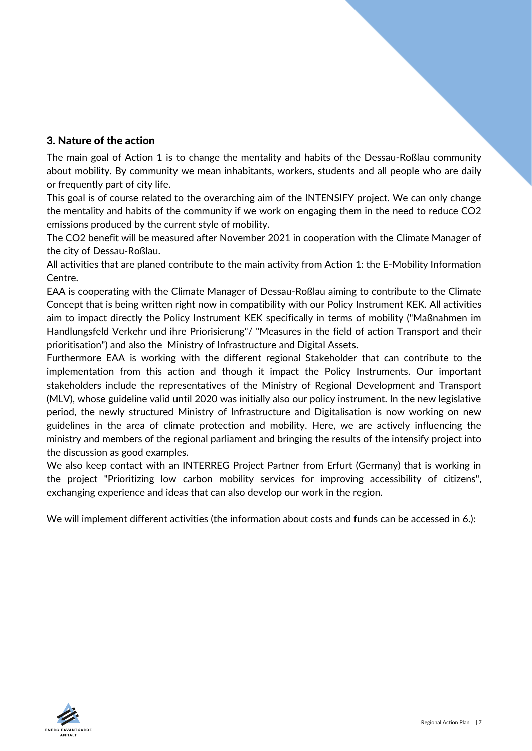#### <span id="page-6-0"></span>3. Nature of the action

The main goal of Action 1 is to change the mentality and habits of the Dessau-Roßlau community about mobility. By community we mean inhabitants, workers, students and all people who are daily or frequently part of city life.

This goal is of course related to the overarching aim of the INTENSIFY project. We can only change the mentality and habits of the community if we work on engaging them in the need to reduce CO2 emissions produced by the current style of mobility.

The CO2 benefit will be measured after November 2021 in cooperation with the Climate Manager of the city of Dessau-Roßlau.

All activities that are planed contribute to the main activity from Action 1: the E-Mobility Information Centre.

EAA is cooperating with the Climate Manager of Dessau-Roßlau aiming to contribute to the Climate Concept that is being written right now in compatibility with our Policy Instrument KEK. All activities aim to impact directly the Policy Instrument KEK specifically in terms of mobility ("Maßnahmen im Handlungsfeld Verkehr und ihre Priorisierung"/ "Measures in the field of action Transport and their prioritisation") and also the Ministry of Infrastructure and Digital Assets.

Furthermore EAA is working with the different regional Stakeholder that can contribute to the implementation from this action and though it impact the Policy Instruments. Our important stakeholders include the representatives of the Ministry of Regional Development and Transport (MLV), whose guideline valid until 2020 was initially also our policy instrument. In the new legislative period, the newly structured Ministry of Infrastructure and Digitalisation is now working on new guidelines in the area of climate protection and mobility. Here, we are actively influencing the ministry and members of the regional parliament and bringing the results of the intensify project into the discussion as good examples.

We also keep contact with an INTERREG Project Partner from Erfurt (Germany) that is working in the project "Prioritizing low carbon mobility services for improving accessibility of citizens", exchanging experience and ideas that can also develop our work in the region.

We will implement different activities (the information about costs and funds can be accessed in 6.):

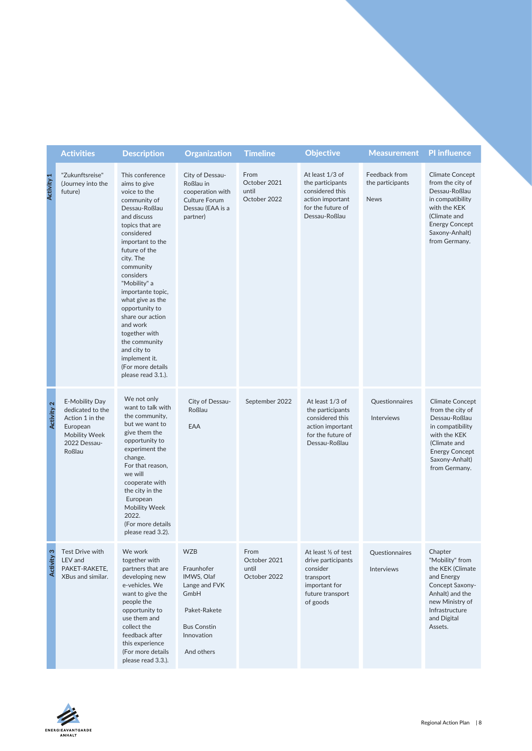|                   | <b>Activities</b>                                                                                                   | <b>Description</b>                                                                                                                                                                                                                                                                                                                                                                                                                   | <b>Organization</b>                                                                                                               | <b>Timeline</b>                               | <b>Objective</b>                                                                                                     | <b>Measurement</b>                               | <b>PI</b> influence                                                                                                                                                         |
|-------------------|---------------------------------------------------------------------------------------------------------------------|--------------------------------------------------------------------------------------------------------------------------------------------------------------------------------------------------------------------------------------------------------------------------------------------------------------------------------------------------------------------------------------------------------------------------------------|-----------------------------------------------------------------------------------------------------------------------------------|-----------------------------------------------|----------------------------------------------------------------------------------------------------------------------|--------------------------------------------------|-----------------------------------------------------------------------------------------------------------------------------------------------------------------------------|
| <b>Activity 1</b> | "Zukunftsreise"<br>(Journey into the<br>future)                                                                     | This conference<br>aims to give<br>voice to the<br>community of<br>Dessau-Roßlau<br>and discuss<br>topics that are<br>considered<br>important to the<br>future of the<br>city. The<br>community<br>considers<br>"Mobility" a<br>importante topic,<br>what give as the<br>opportunity to<br>share our action<br>and work<br>together with<br>the community<br>and city to<br>implement it.<br>(For more details<br>please read 3.1.). | City of Dessau-<br>Roßlau in<br>cooperation with<br><b>Culture Forum</b><br>Dessau (EAA is a<br>partner)                          | From<br>October 2021<br>until<br>October 2022 | At least 1/3 of<br>the participants<br>considered this<br>action important<br>for the future of<br>Dessau-Roßlau     | Feedback from<br>the participants<br><b>News</b> | <b>Climate Concept</b><br>from the city of<br>Dessau-Roßlau<br>in compatibility<br>with the KEK<br>(Climate and<br><b>Energy Concept</b><br>Saxony-Anhalt)<br>from Germany. |
| Activity 2        | E-Mobility Day<br>dedicated to the<br>Action 1 in the<br>European<br><b>Mobility Week</b><br>2022 Dessau-<br>Roßlau | We not only<br>want to talk with<br>the community,<br>but we want to<br>give them the<br>opportunity to<br>experiment the<br>change.<br>For that reason,<br>we will<br>cooperate with<br>the city in the<br>European<br>Mobility Week<br>2022.<br>(For more details<br>please read 3.2).                                                                                                                                             | City of Dessau-<br>Roßlau<br>EAA                                                                                                  | September 2022                                | At least 1/3 of<br>the participants<br>considered this<br>action important<br>for the future of<br>Dessau-Roßlau     | Questionnaires<br>Interviews                     | <b>Climate Concept</b><br>from the city of<br>Dessau-Roßlau<br>in compatibility<br>with the KEK<br>(Climate and<br><b>Energy Concept</b><br>Saxony-Anhalt)<br>from Germany. |
| Activity 3        | Test Drive with<br>LEV and<br>PAKET-RAKETE,<br>XBus and similar.                                                    | We work<br>together with<br>partners that are<br>developing new<br>e-vehicles. We<br>want to give the<br>people the<br>opportunity to<br>use them and<br>collect the<br>feedback after<br>this experience<br>(For more details<br>please read 3.3.).                                                                                                                                                                                 | <b>WZB</b><br>Fraunhofer<br>IMWS, Olaf<br>Lange and FVK<br>GmbH<br>Paket-Rakete<br><b>Bus Constin</b><br>Innovation<br>And others | From<br>October 2021<br>until<br>October 2022 | At least 1/2 of test<br>drive participants<br>consider<br>transport<br>important for<br>future transport<br>of goods | Questionnaires<br>Interviews                     | Chapter<br>"Mobility" from<br>the KEK (Climate<br>and Energy<br>Concept Saxony-<br>Anhalt) and the<br>new Ministry of<br>Infrastructure<br>and Digital<br>Assets.           |

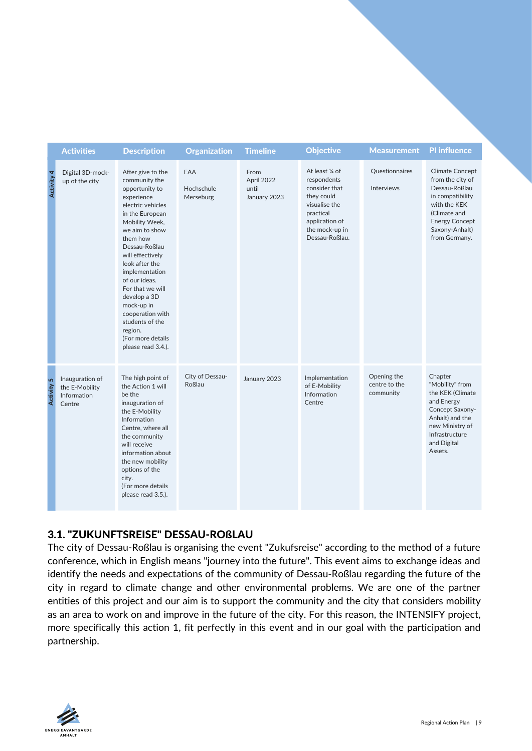|               | <b>Activities</b>                                          | <b>Description</b>                                                                                                                                                                                                                                                                                                                                                                                  | Organization                   | <b>Timeline</b>                             | <b>Objective</b>                                                                                                                                  | <b>Measurement</b>                        | <b>PI</b> influence                                                                                                                                                         |
|---------------|------------------------------------------------------------|-----------------------------------------------------------------------------------------------------------------------------------------------------------------------------------------------------------------------------------------------------------------------------------------------------------------------------------------------------------------------------------------------------|--------------------------------|---------------------------------------------|---------------------------------------------------------------------------------------------------------------------------------------------------|-------------------------------------------|-----------------------------------------------------------------------------------------------------------------------------------------------------------------------------|
| Activity 4    | Digital 3D-mock-<br>up of the city                         | After give to the<br>community the<br>opportunity to<br>experience<br>electric vehicles<br>in the European<br>Mobility Week,<br>we aim to show<br>them how<br>Dessau-Roßlau<br>will effectively<br>look after the<br>implementation<br>of our ideas.<br>For that we will<br>develop a 3D<br>mock-up in<br>cooperation with<br>students of the<br>region.<br>(For more details<br>please read 3.4.). | EAA<br>Hochschule<br>Merseburg | From<br>April 2022<br>until<br>January 2023 | At least 1/4 of<br>respondents<br>consider that<br>they could<br>visualise the<br>practical<br>application of<br>the mock-up in<br>Dessau-Roßlau. | Questionnaires<br><b>Interviews</b>       | <b>Climate Concept</b><br>from the city of<br>Dessau-Roßlau<br>in compatibility<br>with the KEK<br>(Climate and<br><b>Energy Concept</b><br>Saxony-Anhalt)<br>from Germany. |
| 5<br>Activity | Inauguration of<br>the E-Mobility<br>Information<br>Centre | The high point of<br>the Action 1 will<br>be the<br>inauguration of<br>the E-Mobility<br>Information<br>Centre, where all<br>the community<br>will receive<br>information about<br>the new mobility<br>options of the<br>city.<br>(For more details<br>please read 3.5.).                                                                                                                           | City of Dessau-<br>Roßlau      | January 2023                                | Implementation<br>of E-Mobility<br>Information<br>Centre                                                                                          | Opening the<br>centre to the<br>community | Chapter<br>"Mobility" from<br>the KEK (Climate<br>and Energy<br>Concept Saxony-<br>Anhalt) and the<br>new Ministry of<br>Infrastructure<br>and Digital<br>Assets.           |

#### 3.1. "ZUKUNFTSREISE" DESSAU-ROßLAU

The city of Dessau-Roßlau is organising the event "Zukufsreise" according to the method of a future conference, which in English means "journey into the future". This event aims to exchange ideas and identify the needs and expectations of the community of Dessau-Roßlau regarding the future of the city in regard to climate change and other environmental problems. We are one of the partner entities of this project and our aim is to support the community and the city that considers mobility as an area to work on and improve in the future of the city. For this reason, the INTENSIFY project, more specifically this action 1, fit perfectly in this event and in our goal with the participation and partnership.

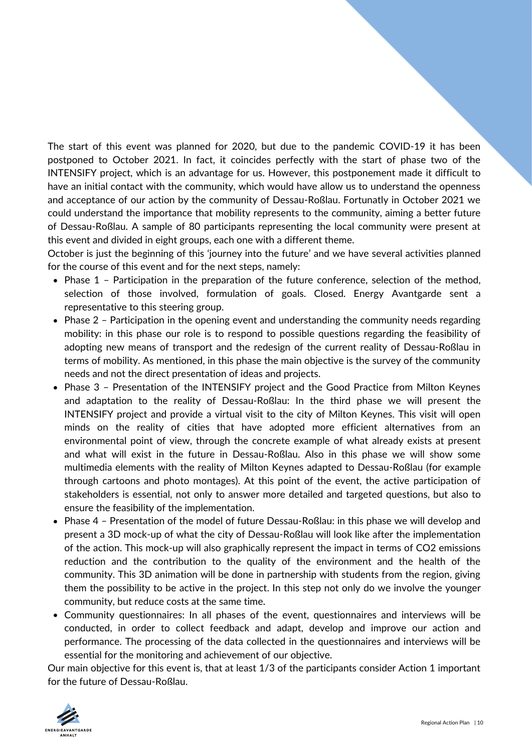The start of this event was planned for 2020, but due to the pandemic COVID-19 it has been postponed to October 2021. In fact, it coincides perfectly with the start of phase two of the INTENSIFY project, which is an advantage for us. However, this postponement made it difficult to have an initial contact with the community, which would have allow us to understand the openness and acceptance of our action by the community of Dessau-Roßlau. Fortunatly in October 2021 we could understand the importance that mobility represents to the community, aiming a better future of Dessau-Roßlau. A sample of 80 participants representing the local community were present at this event and divided in eight groups, each one with a different theme.

October is just the beginning of this 'journey into the future' and we have several activities planned for the course of this event and for the next steps, namely:

- Phase 1 Participation in the preparation of the future conference, selection of the method, selection of those involved, formulation of goals. Closed. Energy Avantgarde sent a representative to this steering group.
- Phase 2 Participation in the opening event and understanding the community needs regarding mobility: in this phase our role is to respond to possible questions regarding the feasibility of adopting new means of transport and the redesign of the current reality of Dessau-Roßlau in terms of mobility. As mentioned, in this phase the main objective is the survey of the community needs and not the direct presentation of ideas and projects.
- Phase 3 Presentation of the INTENSIFY project and the Good Practice from Milton Keynes and adaptation to the reality of Dessau-Roßlau: In the third phase we will present the INTENSIFY project and provide a virtual visit to the city of Milton Keynes. This visit will open minds on the reality of cities that have adopted more efficient alternatives from an environmental point of view, through the concrete example of what already exists at present and what will exist in the future in Dessau-Roßlau. Also in this phase we will show some multimedia elements with the reality of Milton Keynes adapted to Dessau-Roßlau (for example through cartoons and photo montages). At this point of the event, the active participation of stakeholders is essential, not only to answer more detailed and targeted questions, but also to ensure the feasibility of the implementation.
- Phase 4 Presentation of the model of future Dessau-Roßlau: in this phase we will develop and present a 3D mock-up of what the city of Dessau-Roßlau will look like after the implementation of the action. This mock-up will also graphically represent the impact in terms of CO2 emissions reduction and the contribution to the quality of the environment and the health of the community. This 3D animation will be done in partnership with students from the region, giving them the possibility to be active in the project. In this step not only do we involve the younger community, but reduce costs at the same time.
- Community questionnaires: In all phases of the event, questionnaires and interviews will be conducted, in order to collect feedback and adapt, develop and improve our action and performance. The processing of the data collected in the questionnaires and interviews will be essential for the monitoring and achievement of our objective.

Our main objective for this event is, that at least 1/3 of the participants consider Action 1 important for the future of Dessau-Roßlau.

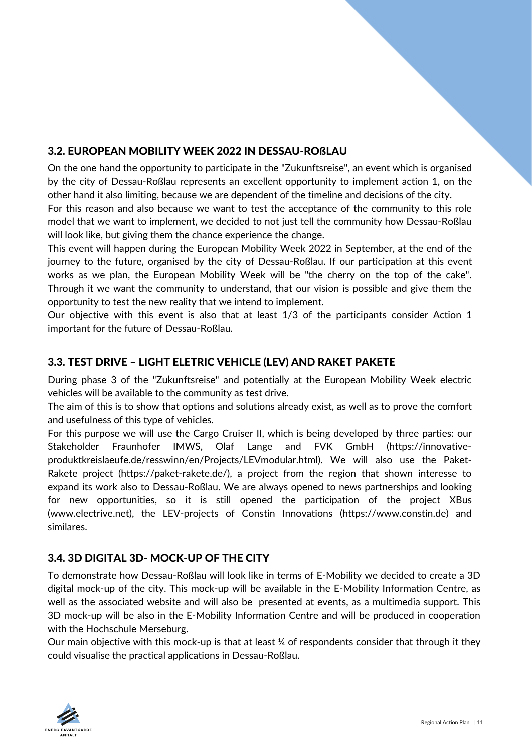#### 3.2. EUROPEAN MOBILITY WEEK 2022 IN DESSAU-ROßLAU

On the one hand the opportunity to participate in the "Zukunftsreise", an event which is organised by the city of Dessau-Roßlau represents an excellent opportunity to implement action 1, on the other hand it also limiting, because we are dependent of the timeline and decisions of the city.

For this reason and also because we want to test the acceptance of the community to this role model that we want to implement, we decided to not just tell the community how Dessau-Roßlau will look like, but giving them the chance experience the change.

This event will happen during the European Mobility Week 2022 in September, at the end of the journey to the future, organised by the city of Dessau-Roßlau. If our participation at this event works as we plan, the European Mobility Week will be "the cherry on the top of the cake". Through it we want the community to understand, that our vision is possible and give them the opportunity to test the new reality that we intend to implement.

Our objective with this event is also that at least 1/3 of the participants consider Action 1 important for the future of Dessau-Roßlau.

#### 3.3. TEST DRIVE – LIGHT ELETRIC VEHICLE (LEV) AND RAKET PAKETE

During phase 3 of the "Zukunftsreise" and potentially at the European Mobility Week electric vehicles will be available to the community as test drive.

The aim of this is to show that options and solutions already exist, as well as to prove the comfort and usefulness of this type of vehicles.

For this purpose we will use the Cargo Cruiser II, which is being developed by three parties: our [Stakeholder Fraunhofer IMWS, Olaf Lange and FVK GmbH \(https://innovative](https://innovative-produktkreislaeufe.de/resswinn/en/Projects/LEVmodular.html)produktkreislaeufe.de/resswinn/en/Projects/LEVmodular.html). We will also use the Paket-Rakete project [\(https://paket-rakete.de/\)](https://paket-rakete.de/), a project from the region that shown interesse to expand its work also to Dessau-Roßlau. We are always opened to news partnerships and looking for new opportunities, so it is still opened the participation of the project XBus [\(www.electrive.net\)](http://www.electrive.net/), the LEV-projects of Constin Innovations ([https://www.constin.de](https://www.constin.de/)) and similares.

#### 3.4. 3D DIGITAL 3D- MOCK-UP OF THE CITY

To demonstrate how Dessau-Roßlau will look like in terms of E-Mobility we decided to create a 3D digital mock-up of the city. This mock-up will be available in the E-Mobility Information Centre, as well as the associated website and will also be presented at events, as a multimedia support. This 3D mock-up will be also in the E-Mobility Information Centre and will be produced in cooperation with the Hochschule Merseburg.

Our main objective with this mock-up is that at least ¼ of respondents consider that through it they could visualise the practical applications in Dessau-Roßlau.

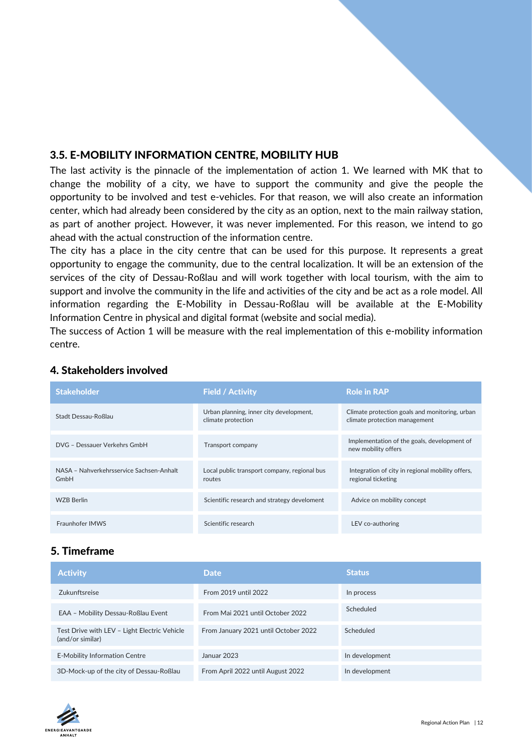#### <span id="page-11-0"></span>3.5. E-MOBILITY INFORMATION CENTRE, MOBILITY HUB

The last activity is the pinnacle of the implementation of action 1. We learned with MK that to change the mobility of a city, we have to support the community and give the people the opportunity to be involved and test e-vehicles. For that reason, we will also create an information center, which had already been considered by the city as an option, next to the main railway station, as part of another project. However, it was never implemented. For this reason, we intend to go ahead with the actual construction of the information centre.

The city has a place in the city centre that can be used for this purpose. It represents a great opportunity to engage the community, due to the central localization. It will be an extension of the services of the city of Dessau-Roßlau and will work together with local tourism, with the aim to support and involve the community in the life and activities of the city and be act as a role model. All information regarding the E-Mobility in Dessau-Roßlau will be available at the E-Mobility Information Centre in physical and digital format (website and social media).

The success of Action 1 will be measure with the real implementation of this e-mobility information centre.

| <b>Stakeholder</b>                               | <b>Field / Activity</b>                                       | <b>Role in RAP</b>                                                              |
|--------------------------------------------------|---------------------------------------------------------------|---------------------------------------------------------------------------------|
| Stadt Dessau-Roßlau                              | Urban planning, inner city development,<br>climate protection | Climate protection goals and monitoring, urban<br>climate protection management |
| DVG - Dessauer Verkehrs GmbH                     | Transport company                                             | Implementation of the goals, development of<br>new mobility offers              |
| NASA - Nahverkehrsservice Sachsen-Anhalt<br>GmbH | Local public transport company, regional bus<br>routes        | Integration of city in regional mobility offers,<br>regional ticketing          |
| <b>WZB Berlin</b>                                | Scientific research and strategy develoment                   | Advice on mobility concept                                                      |
| Fraunhofer IMWS                                  | Scientific research                                           | LEV co-authoring                                                                |

#### 4. Stakeholders involved

#### 5. Timeframe

| <b>Activity</b>                                                  | <b>Date</b>                          | Status         |
|------------------------------------------------------------------|--------------------------------------|----------------|
| Zukunftsreise                                                    | From 2019 until 2022                 | In process     |
| EAA - Mobility Dessau-Roßlau Event                               | From Mai 2021 until October 2022     | Scheduled      |
| Test Drive with LEV - Light Electric Vehicle<br>(and/or similar) | From January 2021 until October 2022 | Scheduled      |
| <b>E-Mobility Information Centre</b>                             | Januar 2023                          | In development |
| 3D-Mock-up of the city of Dessau-Roßlau                          | From April 2022 until August 2022    | In development |

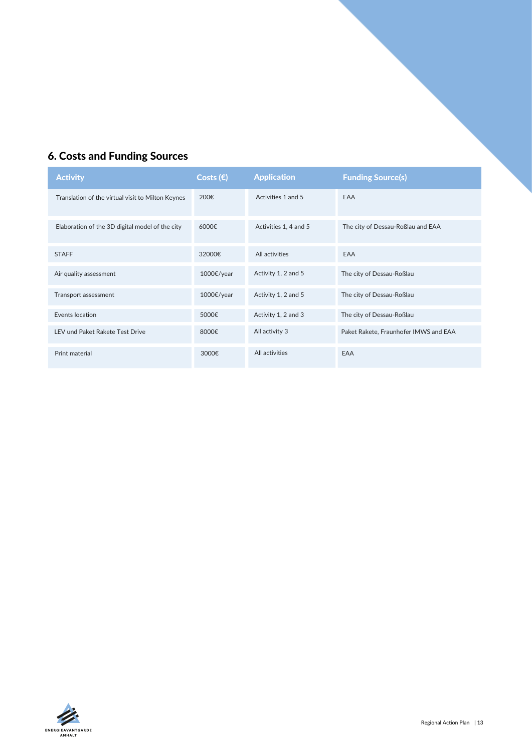#### <span id="page-12-0"></span>6. Costs and Funding Sources

| <b>Activity</b>                                   | Costs $(E)$ | <b>Application</b>    | <b>Funding Source(s)</b>              |
|---------------------------------------------------|-------------|-----------------------|---------------------------------------|
| Translation of the virtual visit to Milton Keynes | 200€        | Activities 1 and 5    | EAA                                   |
| Elaboration of the 3D digital model of the city   | 6000€       | Activities 1, 4 and 5 | The city of Dessau-Roßlau and EAA     |
| <b>STAFF</b>                                      | 32000€      | All activities        | EAA                                   |
| Air quality assessment                            | 1000€/year  | Activity 1, 2 and 5   | The city of Dessau-Roßlau             |
| Transport assessment                              | 1000€/year  | Activity 1, 2 and 5   | The city of Dessau-Roßlau             |
| Events location                                   | 5000€       | Activity 1, 2 and 3   | The city of Dessau-Roßlau             |
| LEV und Paket Rakete Test Drive                   | 8000€       | All activity 3        | Paket Rakete, Fraunhofer IMWS and EAA |
| Print material                                    | 3000€       | All activities        | EAA                                   |